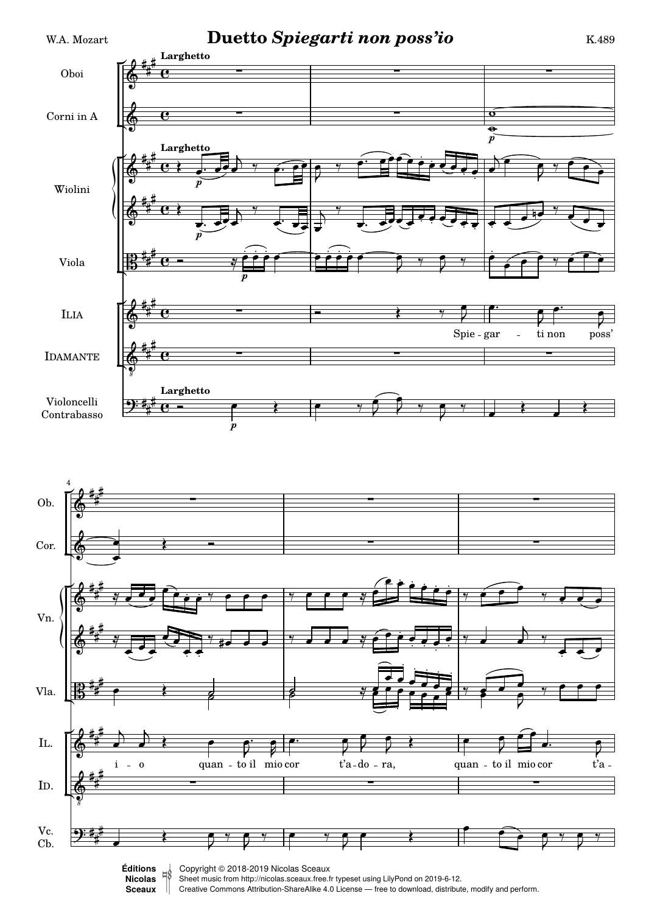



Sheet music from<http://nicolas.sceaux.free.fr> typeset using [LilyPond](http://lilypond.org) on 2019-6-12.

Creative Commons Attribution-ShareAlike 4.0 License — free to download, distribute, modify and perform. **[Sceaux](http://nicolas.sceaux.free.fr)ǀ**  $\mathbb{I}$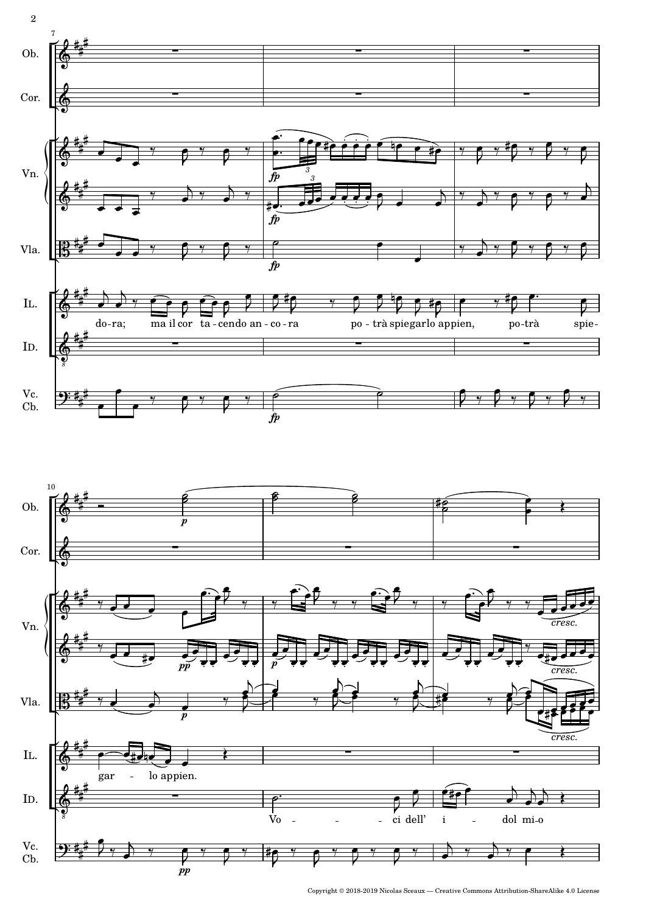

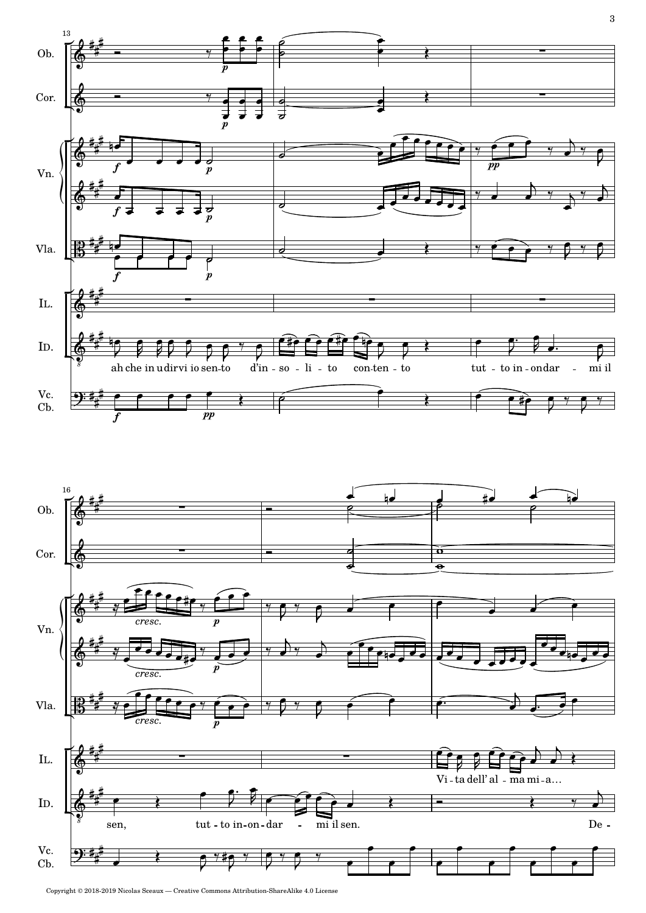

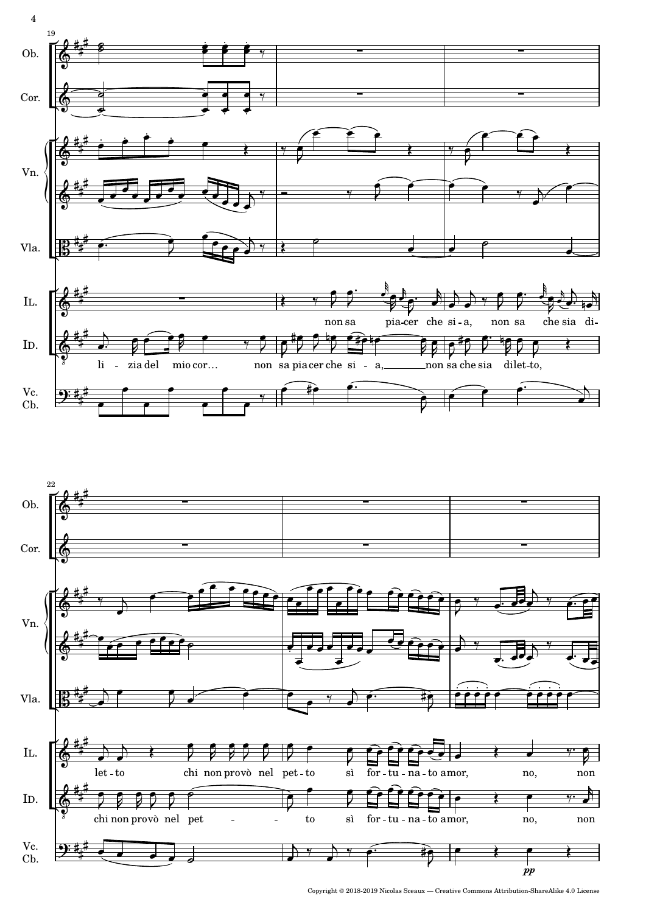

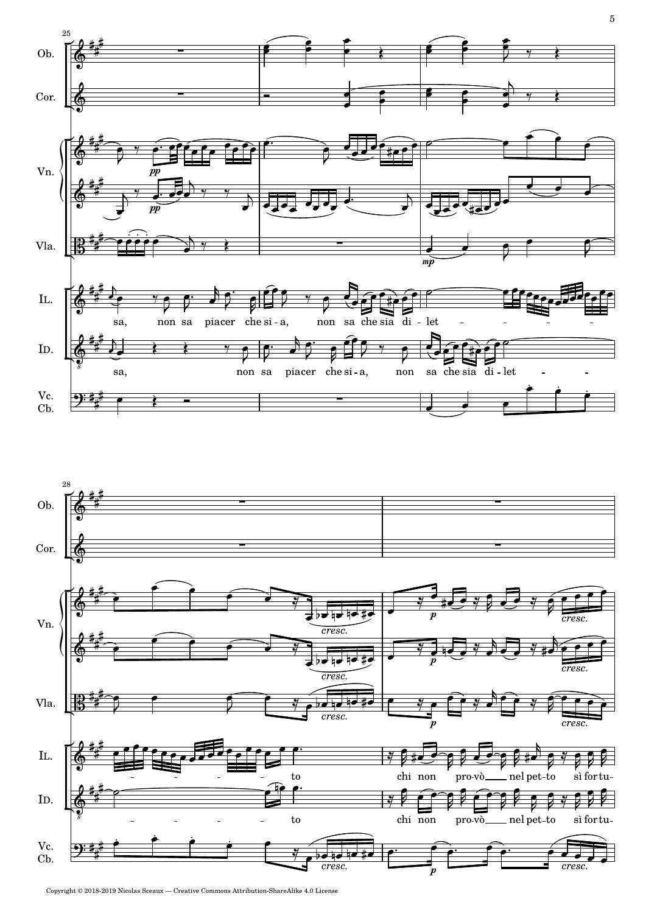

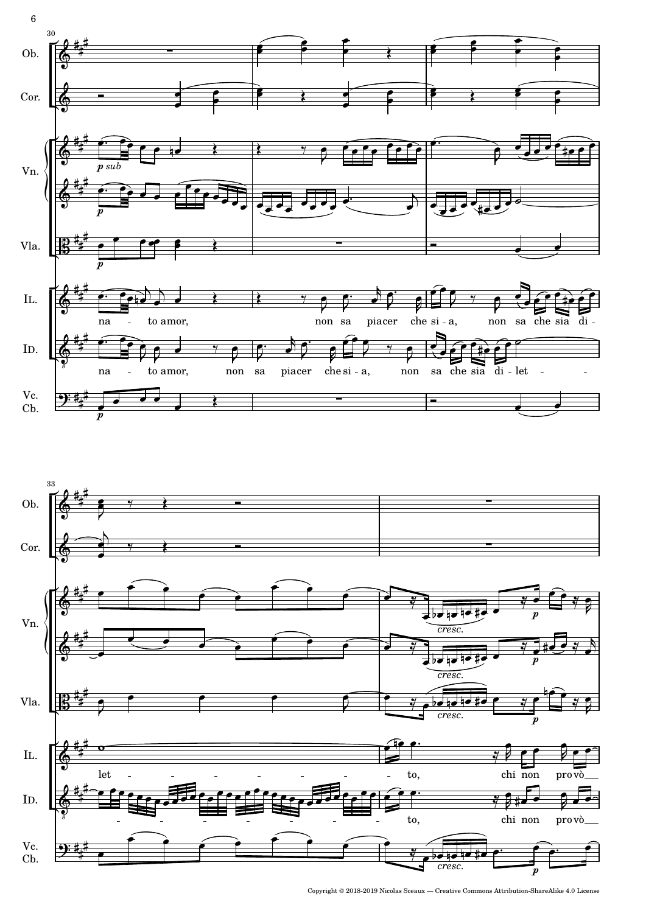



6